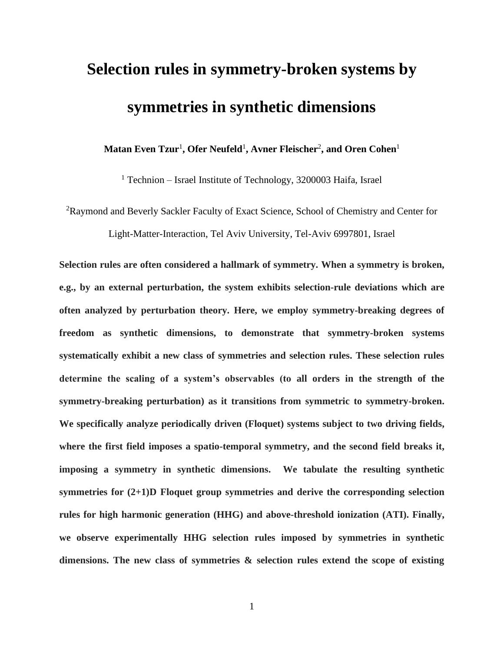# **Selection rules in symmetry-broken systems by symmetries in synthetic dimensions**

 $\mathbf{M}$ atan Even Tzur<sup>1</sup>, Ofer Neufeld<sup>1</sup>, Avner Fleischer<sup>2</sup>, and Oren Cohen $^1$ 

 $1$  Technion – Israel Institute of Technology, 3200003 Haifa, Israel

<sup>2</sup>Raymond and Beverly Sackler Faculty of Exact Science, School of Chemistry and Center for

Light-Matter-Interaction, Tel Aviv University, Tel-Aviv 6997801, Israel

**Selection rules are often considered a hallmark of symmetry. When a symmetry is broken, e.g., by an external perturbation, the system exhibits selection-rule deviations which are often analyzed by perturbation theory. Here, we employ symmetry-breaking degrees of freedom as synthetic dimensions, to demonstrate that symmetry-broken systems systematically exhibit a new class of symmetries and selection rules. These selection rules determine the scaling of a system's observables (to all orders in the strength of the symmetry-breaking perturbation) as it transitions from symmetric to symmetry-broken. We specifically analyze periodically driven (Floquet) systems subject to two driving fields, where the first field imposes a spatio-temporal symmetry, and the second field breaks it, imposing a symmetry in synthetic dimensions. We tabulate the resulting synthetic symmetries for (2+1)D Floquet group symmetries and derive the corresponding selection rules for high harmonic generation (HHG) and above-threshold ionization (ATI). Finally, we observe experimentally HHG selection rules imposed by symmetries in synthetic dimensions. The new class of symmetries & selection rules extend the scope of existing**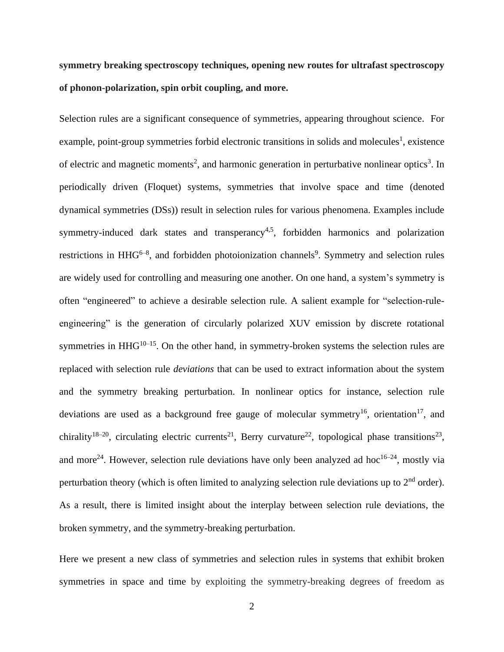**symmetry breaking spectroscopy techniques, opening new routes for ultrafast spectroscopy of phonon-polarization, spin orbit coupling, and more.** 

Selection rules are a significant consequence of symmetries, appearing throughout science. For example, point-group symmetries forbid electronic transitions in solids and molecules<sup>1</sup>, existence of electric and magnetic moments<sup>2</sup>, and harmonic generation in perturbative nonlinear optics<sup>3</sup>. In periodically driven (Floquet) systems, symmetries that involve space and time (denoted dynamical symmetries (DSs)) result in selection rules for various phenomena. Examples include symmetry-induced dark states and transperancy<sup>4,5</sup>, forbidden harmonics and polarization restrictions in  $HHG^{6-8}$ , and forbidden photoionization channels<sup>9</sup>. Symmetry and selection rules are widely used for controlling and measuring one another. On one hand, a system's symmetry is often "engineered" to achieve a desirable selection rule. A salient example for "selection-ruleengineering" is the generation of circularly polarized XUV emission by discrete rotational symmetries in  $HHG^{10-15}$ . On the other hand, in symmetry-broken systems the selection rules are replaced with selection rule *deviations* that can be used to extract information about the system and the symmetry breaking perturbation. In nonlinear optics for instance, selection rule deviations are used as a background free gauge of molecular symmetry<sup>16</sup>, orientation<sup>17</sup>, and chirality<sup>18-20</sup>, circulating electric currents<sup>21</sup>, Berry curvature<sup>22</sup>, topological phase transitions<sup>23</sup>, and more<sup>24</sup>. However, selection rule deviations have only been analyzed ad hoc<sup>16–24</sup>, mostly via perturbation theory (which is often limited to analyzing selection rule deviations up to  $2<sup>nd</sup>$  order). As a result, there is limited insight about the interplay between selection rule deviations, the broken symmetry, and the symmetry-breaking perturbation.

Here we present a new class of symmetries and selection rules in systems that exhibit broken symmetries in space and time by exploiting the symmetry-breaking degrees of freedom as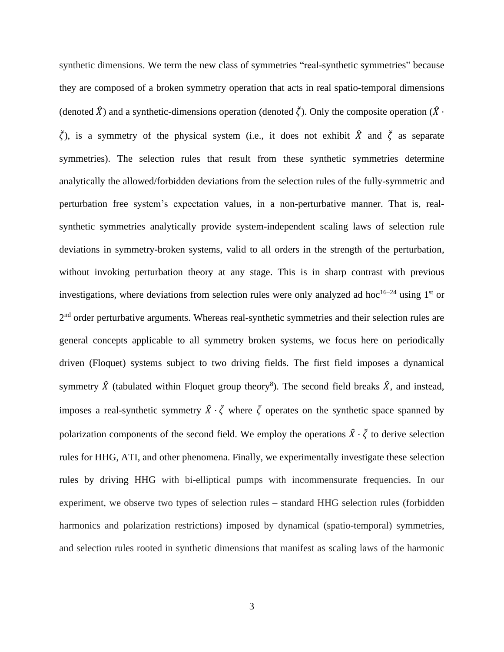synthetic dimensions. We term the new class of symmetries "real-synthetic symmetries" because they are composed of a broken symmetry operation that acts in real spatio-temporal dimensions (denoted  $\hat{X}$ ) and a synthetic-dimensions operation (denoted  $\check{\zeta}$ ). Only the composite operation ( $\hat{X}$  ⋅  $\zeta$ ), is a symmetry of the physical system (i.e., it does not exhibit  $\hat{X}$  and  $\zeta$  as separate symmetries). The selection rules that result from these synthetic symmetries determine analytically the allowed/forbidden deviations from the selection rules of the fully-symmetric and perturbation free system's expectation values, in a non-perturbative manner. That is, realsynthetic symmetries analytically provide system-independent scaling laws of selection rule deviations in symmetry-broken systems, valid to all orders in the strength of the perturbation, without invoking perturbation theory at any stage. This is in sharp contrast with previous investigations, where deviations from selection rules were only analyzed ad hoc<sup>16–24</sup> using 1<sup>st</sup> or 2<sup>nd</sup> order perturbative arguments. Whereas real-synthetic symmetries and their selection rules are general concepts applicable to all symmetry broken systems, we focus here on periodically driven (Floquet) systems subject to two driving fields. The first field imposes a dynamical symmetry  $\hat{X}$  (tabulated within Floquet group theory<sup>8</sup>). The second field breaks  $\hat{X}$ , and instead, imposes a real-synthetic symmetry  $\hat{X} \cdot \check{\zeta}$  where  $\check{\zeta}$  operates on the synthetic space spanned by polarization components of the second field. We employ the operations  $\hat{X} \cdot \check{\zeta}$  to derive selection rules for HHG, ATI, and other phenomena. Finally, we experimentally investigate these selection rules by driving HHG with bi-elliptical pumps with incommensurate frequencies. In our experiment, we observe two types of selection rules – standard HHG selection rules (forbidden harmonics and polarization restrictions) imposed by dynamical (spatio-temporal) symmetries, and selection rules rooted in synthetic dimensions that manifest as scaling laws of the harmonic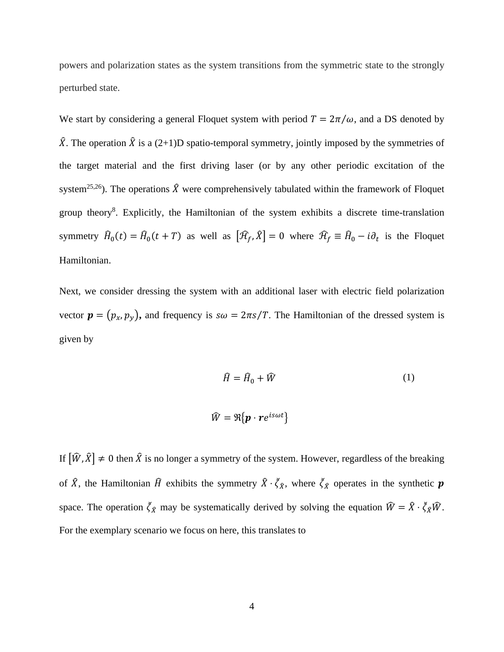powers and polarization states as the system transitions from the symmetric state to the strongly perturbed state.

We start by considering a general Floquet system with period  $T = 2\pi/\omega$ , and a DS denoted by  $\hat{X}$ . The operation  $\hat{X}$  is a (2+1)D spatio-temporal symmetry, jointly imposed by the symmetries of the target material and the first driving laser (or by any other periodic excitation of the system<sup>25,26</sup>). The operations  $\hat{X}$  were comprehensively tabulated within the framework of Floquet group theory<sup>8</sup>. Explicitly, the Hamiltonian of the system exhibits a discrete time-translation symmetry  $\hat{H}_0(t) = \hat{H}_0(t + T)$  as well as  $[\hat{\mathcal{H}}_f, \hat{X}] = 0$  where  $\hat{\mathcal{H}}_f \equiv \hat{H}_0 - i\partial_t$  is the Floquet Hamiltonian.

Next, we consider dressing the system with an additional laser with electric field polarization vector  $\mathbf{p} = (p_x, p_y)$ , and frequency is  $s\omega = 2\pi s/T$ . The Hamiltonian of the dressed system is given by

$$
\widehat{H} = \widehat{H}_0 + \widehat{W}
$$
\n
$$
\widehat{W} = \Re{\boldsymbol{p} \cdot \boldsymbol{r} e^{is\omega t}}
$$
\n(1)

If  $[\hat{W}, \hat{X}] \neq 0$  then  $\hat{X}$  is no longer a symmetry of the system. However, regardless of the breaking of  $\hat{X}$ , the Hamiltonian  $\hat{H}$  exhibits the symmetry  $\hat{X} \cdot \check{\zeta}_{\hat{X}}$ , where  $\check{\zeta}_{\hat{X}}$  operates in the synthetic  $p$ space. The operation  $\zeta_{\hat{X}}$  may be systematically derived by solving the equation  $\hat{W} = \hat{X} \cdot \zeta_{\hat{X}} \hat{W}$ . For the exemplary scenario we focus on here, this translates to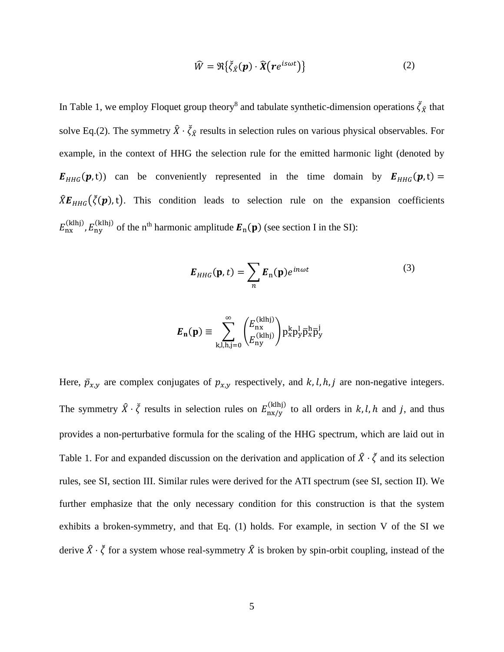$$
\widehat{W} = \Re{\{\breve{\zeta}_R(\boldsymbol{p}) \cdot \widehat{\boldsymbol{X}}(\boldsymbol{r}e^{is\omega t})\}}
$$
\n(2)

In Table 1, we employ Floquet group theory<sup>8</sup> and tabulate synthetic-dimension operations  $\vec{\zeta}_{\hat{X}}$  that solve Eq.(2). The symmetry  $\hat{X} \cdot \check{\zeta}_{\hat{X}}$  results in selection rules on various physical observables. For example, in the context of HHG the selection rule for the emitted harmonic light (denoted by  $E_{HHG}(p,t)$  can be conveniently represented in the time domain by  $E_{HHG}(p,t)$  =  $\hat{X}E_{HHG}(\check{\zeta}(p),t)$ . This condition leads to selection rule on the expansion coefficients  $E_{\text{nx}}^{(klhj)}$ ,  $E_{\text{ny}}^{(klhj)}$  of the n<sup>th</sup> harmonic amplitude  $\mathbf{E}_{\text{n}}(\mathbf{p})$  (see section I in the SI):

$$
E_{HHG}(\mathbf{p},t) = \sum_{n} E_n(\mathbf{p}) e^{in\omega t}
$$
 (3)

$$
\pmb{E}_{\mathbf{n}}(\mathbf{p}) \equiv \sum_{\mathbf{k},\mathbf{l},\mathbf{h},\mathbf{j}=\mathbf{0}}^{\infty} \binom{E_{\textrm{nx}}^{(\textrm{klhj})}}{E_{\textrm{ny}}^{(\textrm{klhj})}} p_{\textrm{x}}^{\textrm{k}} p_{\textrm{y}}^{\textrm{l}} \overline{p}_{\textrm{x}}^{\textrm{h}} \overline{p}_{\textrm{y}}^{\textrm{i}}
$$

Here,  $\bar{p}_{x,y}$  are complex conjugates of  $p_{x,y}$  respectively, and  $k, l, h, j$  are non-negative integers. The symmetry  $\hat{X} \cdot \check{\zeta}$  results in selection rules on  $E_{\text{nx/y}}^{(klhj)}$  to all orders in  $k, l, h$  and  $j$ , and thus provides a non-perturbative formula for the scaling of the HHG spectrum, which are laid out in Table 1. For and expanded discussion on the derivation and application of  $\hat{X} \cdot \check{\zeta}$  and its selection rules, see SI, section III. Similar rules were derived for the ATI spectrum (see SI, section II). We further emphasize that the only necessary condition for this construction is that the system exhibits a broken-symmetry, and that Eq. (1) holds. For example, in section V of the SI we derive  $\hat{X} \cdot \check{\zeta}$  for a system whose real-symmetry  $\hat{X}$  is broken by spin-orbit coupling, instead of the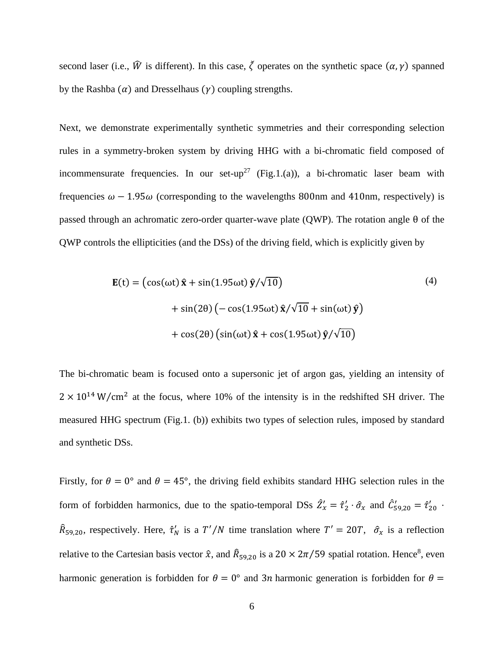second laser (i.e.,  $\hat{W}$  is different). In this case,  $\check{\zeta}$  operates on the synthetic space  $(\alpha, \gamma)$  spanned by the Rashba  $(\alpha)$  and Dresselhaus  $(\gamma)$  coupling strengths.

Next, we demonstrate experimentally synthetic symmetries and their corresponding selection rules in a symmetry-broken system by driving HHG with a bi-chromatic field composed of incommensurate frequencies. In our set-up<sup>27</sup> (Fig.1.(a)), a bi-chromatic laser beam with frequencies  $\omega - 1.95\omega$  (corresponding to the wavelengths 800nm and 410nm, respectively) is passed through an achromatic zero-order quarter-wave plate (QWP). The rotation angle θ of the QWP controls the ellipticities (and the DSs) of the driving field, which is explicitly given by

$$
\mathbf{E}(t) = (\cos(\omega t)\hat{\mathbf{x}} + \sin(1.95\omega t)\hat{\mathbf{y}}/\sqrt{10})
$$
  
+ 
$$
\sin(2\theta) (-\cos(1.95\omega t)\hat{\mathbf{x}}/\sqrt{10} + \sin(\omega t)\hat{\mathbf{y}})
$$
  
+ 
$$
\cos(2\theta) (\sin(\omega t)\hat{\mathbf{x}} + \cos(1.95\omega t)\hat{\mathbf{y}}/\sqrt{10})
$$
 (4)

The bi-chromatic beam is focused onto a supersonic jet of argon gas, yielding an intensity of  $2 \times 10^{14}$  W/cm<sup>2</sup> at the focus, where 10% of the intensity is in the redshifted SH driver. The measured HHG spectrum (Fig.1. (b)) exhibits two types of selection rules, imposed by standard and synthetic DSs.

Firstly, for  $\theta = 0^{\circ}$  and  $\theta = 45^{\circ}$ , the driving field exhibits standard HHG selection rules in the form of forbidden harmonics, due to the spatio-temporal DSs  $\hat{Z}'_x = \hat{\tau}'_2 \cdot \hat{\sigma}_x$  and  $\hat{C}'_{59,20} = \hat{\tau}'_{20}$ .  $\hat{R}_{59,20}$ , respectively. Here,  $\hat{\tau}'_N$  is a  $T'/N$  time translation where  $T' = 20T$ ,  $\hat{\sigma}_x$  is a reflection relative to the Cartesian basis vector  $\hat{x}$ , and  $\hat{R}_{59,20}$  is a 20  $\times$  2 $\pi/59$  spatial rotation. Hence<sup>8</sup>, even harmonic generation is forbidden for  $\theta = 0^{\circ}$  and 3n harmonic generation is forbidden for  $\theta =$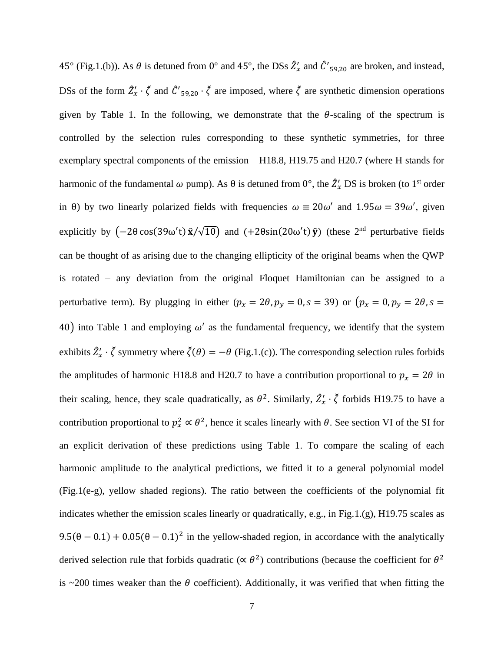45° (Fig.1.(b)). As  $\theta$  is detuned from 0° and 45°, the DSs  $\hat{Z}'_x$  and  $\hat{C}'_{59,20}$  are broken, and instead, DSs of the form  $\hat{Z}'_x \cdot \xi$  and  $\hat{C}'_{59,20} \cdot \xi$  are imposed, where  $\xi$  are synthetic dimension operations given by Table 1. In the following, we demonstrate that the  $\theta$ -scaling of the spectrum is controlled by the selection rules corresponding to these synthetic symmetries, for three exemplary spectral components of the emission – H18.8, H19.75 and H20.7 (where H stands for harmonic of the fundamental  $\omega$  pump). As  $\theta$  is detuned from  $0^{\circ}$ , the  $\hat{Z}'_x$  DS is broken (to 1<sup>st</sup> order in  $\theta$ ) by two linearly polarized fields with frequencies  $\omega = 20\omega'$  and  $1.95\omega = 39\omega'$ , given explicitly by  $(-2\theta \cos(39\omega' t) \hat{x}/\sqrt{10})$  and  $(+2\theta \sin(20\omega' t) \hat{y})$  (these  $2^{nd}$  perturbative fields can be thought of as arising due to the changing ellipticity of the original beams when the QWP is rotated – any deviation from the original Floquet Hamiltonian can be assigned to a perturbative term). By plugging in either  $(p_x = 2\theta, p_y = 0, s = 39)$  or  $(p_x = 0, p_y = 2\theta, s =$ 40) into Table 1 and employing  $\omega'$  as the fundamental frequency, we identify that the system exhibits  $\hat{Z}'_x \cdot \xi$  symmetry where  $\xi(\theta) = -\theta$  (Fig.1.(c)). The corresponding selection rules forbids the amplitudes of harmonic H18.8 and H20.7 to have a contribution proportional to  $p_x = 2\theta$  in their scaling, hence, they scale quadratically, as  $\theta^2$ . Similarly,  $\hat{Z}'_x \cdot \vec{\zeta}$  forbids H19.75 to have a contribution proportional to  $p_x^2 \propto \theta^2$ , hence it scales linearly with  $\theta$ . See section VI of the SI for an explicit derivation of these predictions using Table 1. To compare the scaling of each harmonic amplitude to the analytical predictions, we fitted it to a general polynomial model (Fig.1(e-g), yellow shaded regions). The ratio between the coefficients of the polynomial fit indicates whether the emission scales linearly or quadratically, e.g., in Fig.1.(g), H19.75 scales as  $9.5(\theta - 0.1) + 0.05(\theta - 0.1)^2$  in the yellow-shaded region, in accordance with the analytically derived selection rule that forbids quadratic ( $\propto \theta^2$ ) contributions (because the coefficient for  $\theta^2$ is  $\sim$ 200 times weaker than the  $\theta$  coefficient). Additionally, it was verified that when fitting the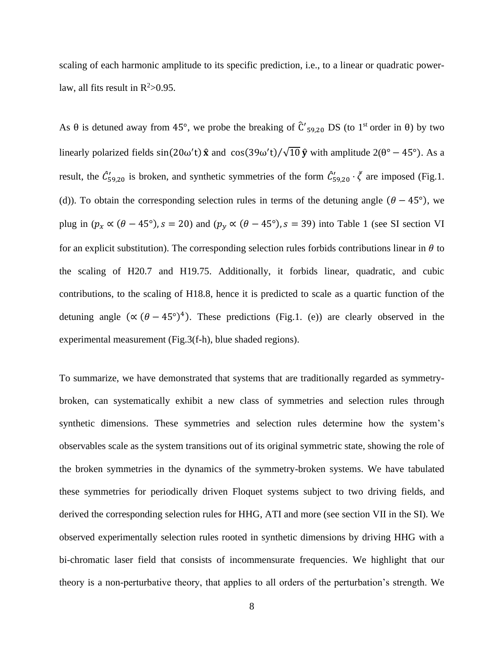scaling of each harmonic amplitude to its specific prediction, i.e., to a linear or quadratic powerlaw, all fits result in  $R^2 > 0.95$ .

As  $\theta$  is detuned away from 45°, we probe the breaking of  $\hat{C}'_{59,20}$  DS (to 1<sup>st</sup> order in  $\theta$ ) by two linearly polarized fields  $sin(20\omega' t) \hat{x}$  and  $cos(39\omega' t)/\sqrt{10} \hat{y}$  with amplitude  $2(\theta^{\circ} - 45^{\circ})$ . As a result, the  $\hat{C}_{59,20}'$  is broken, and synthetic symmetries of the form  $\hat{C}_{59,20}' \cdot \vec{\zeta}$  are imposed (Fig.1. (d)). To obtain the corresponding selection rules in terms of the detuning angle  $(\theta - 45^{\circ})$ , we plug in  $(p_x \propto (\theta - 45^{\circ})$ ,  $s = 20$ ) and  $(p_y \propto (\theta - 45^{\circ})$ ,  $s = 39)$  into Table 1 (see SI section VI) for an explicit substitution). The corresponding selection rules forbids contributions linear in  $\theta$  to the scaling of H20.7 and H19.75. Additionally, it forbids linear, quadratic, and cubic contributions, to the scaling of H18.8, hence it is predicted to scale as a quartic function of the detuning angle  $(\alpha (\theta - 45^{\circ})^4)$ . These predictions (Fig.1. (e)) are clearly observed in the experimental measurement (Fig.3(f-h), blue shaded regions).

To summarize, we have demonstrated that systems that are traditionally regarded as symmetrybroken, can systematically exhibit a new class of symmetries and selection rules through synthetic dimensions. These symmetries and selection rules determine how the system's observables scale as the system transitions out of its original symmetric state, showing the role of the broken symmetries in the dynamics of the symmetry-broken systems. We have tabulated these symmetries for periodically driven Floquet systems subject to two driving fields, and derived the corresponding selection rules for HHG, ATI and more (see section VII in the SI). We observed experimentally selection rules rooted in synthetic dimensions by driving HHG with a bi-chromatic laser field that consists of incommensurate frequencies. We highlight that our theory is a non-perturbative theory, that applies to all orders of the perturbation's strength. We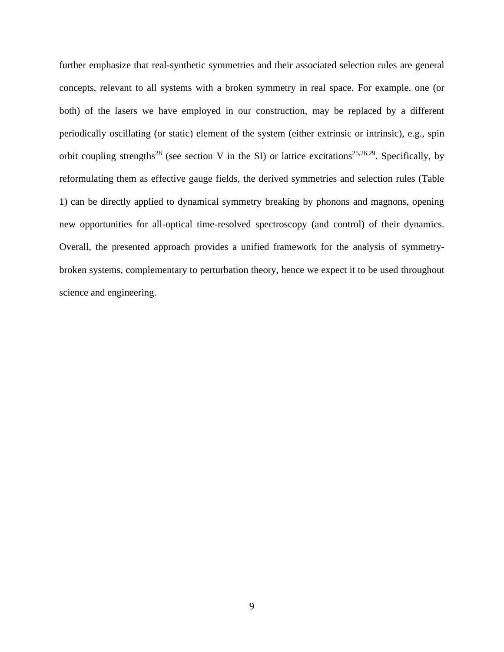further emphasize that real-synthetic symmetries and their associated selection rules are general concepts, relevant to all systems with a broken symmetry in real space. For example, one (or both) of the lasers we have employed in our construction, may be replaced by a different periodically oscillating (or static) element of the system (either extrinsic or intrinsic), e.g., spin orbit coupling strengths<sup>28</sup> (see section V in the SI) or lattice excitations<sup>25,26,29</sup>. Specifically, by reformulating them as effective gauge fields, the derived symmetries and selection rules (Table 1) can be directly applied to dynamical symmetry breaking by phonons and magnons, opening new opportunities for all-optical time-resolved spectroscopy (and control) of their dynamics. Overall, the presented approach provides a unified framework for the analysis of symmetrybroken systems, complementary to perturbation theory, hence we expect it to be used throughout science and engineering.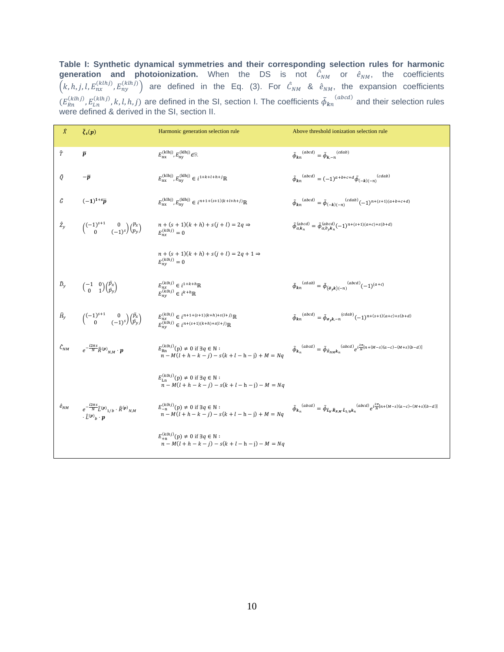**Table I: Synthetic dynamical symmetries and their corresponding selection rules for harmonic generation and photoionization.** When the DS is not  $\hat{C}_{NM}$  or  $\hat{e}_{NM}$ , the coefficients  $(k, h, j, l, E_{nx}^{(klhj)}, E_{ny}^{(klhj)})$  are defined in the Eq. (3). For  $\hat{C}_{NM}$  &  $\hat{e}_{NM}$ , the expansion coefficients  $(E_{Rn}^{(klhj)}, E_{Ln}^{(klhj)}, k, l, h, j)$  are defined in the SI, section I. The coefficients  $\tilde{\phi}_{kn}$  $(abcd)$  and their selection rules were defined & derived in the SI, section II.

| $\hat{X}$                  | $\breve{\zeta}_s(p)$                                                                                                                                   | Harmonic generation selection rule                                                                                                                | Above threshold ionization selection rule                                                                                                                                    |
|----------------------------|--------------------------------------------------------------------------------------------------------------------------------------------------------|---------------------------------------------------------------------------------------------------------------------------------------------------|------------------------------------------------------------------------------------------------------------------------------------------------------------------------------|
| Ŷ                          | $\overline{p}$                                                                                                                                         | $E_{\rm nx}^{\rm (klhj)}, E_{\rm ny}^{\rm (klhj)}$ $\in \! \mathbb{R}$                                                                            | $\tilde{\phi}_{kn}^{(abcd)} = \tilde{\phi}_{k,-n}^{(cdab)}$                                                                                                                  |
| Ô.                         | $-\bar{p}$                                                                                                                                             | $E_{\rm{nx}}^{(\text{klhj})},E_{\rm{ny}}^{(\text{klhj})} \in i^{1+k+l+h+j}\mathbb{R}$                                                             | $\tilde{\phi}_{kn}^{(abcd)}=(-1)^{a+b+c+d}\tilde{\phi}_{(-k)(-n)}^{(cdab)}$                                                                                                  |
| Ĝ                          | $(-1)^{1+s}\overline{p}$                                                                                                                               | $E_{\rm nx}^{\rm (klhj)}, E_{\rm ny}^{\rm (klhj)} \in i^{n+1+(s+1)(k+l+h+j)} \mathbb{R}$                                                          | $\tilde{\phi}_{kn}^{(abcd)} = \tilde{\phi}_{(-k)(-n)}^{(cdab)} (-1)^{n+(s+1)(a+b+c+d)}$                                                                                      |
| $2_y$                      | $\begin{pmatrix} (-1)^{s+1} & 0 \\ 0 & (-1)^s \end{pmatrix} \begin{pmatrix} p_x \\ p_y \end{pmatrix}$                                                  | $n + (s + 1)(k + h) + s(j + l) = 2q \Rightarrow$<br>$E_{nx}^{(klhj)} = 0$                                                                         | $\tilde{\phi}_{\alpha,k_n}^{(abcd)} = \tilde{\phi}_{\alpha,\partial_\nu k_n}^{(abcd)} (-1)^{n+(s+1)(a+c)+s(b+d)}$                                                            |
|                            |                                                                                                                                                        | $n + (s + 1)(k + h) + s(j + l) = 2q + 1 \Rightarrow$<br>$E_{nv}^{(klhj)}=0$                                                                       |                                                                                                                                                                              |
| $\widehat{D}_{\mathbf{y}}$ | $\begin{pmatrix} -1 & 0 \\ 0 & 1 \end{pmatrix} \begin{pmatrix} \bar{p}_x \\ \bar{p}_y \end{pmatrix}$                                                   | $E_{nx}^{(klhj)} \in i^{1+k+h}\mathbb{R}$<br>$E_{nv}^{(klhj)} \in i^{k+h} \mathbb{R}$                                                             | $\tilde{\phi}_{kn}^{~(cdab)}=\tilde{\phi}_{\left(\hat{\sigma}_yk\right)(-n)}^{~(abcd)}(-1)^{(a+c)}$                                                                          |
|                            | $\hat{H}_y \qquad \begin{pmatrix} (-1)^{s+1} & 0 \\ 0 & (-1)^s \end{pmatrix} \begin{pmatrix} \bar{p}_x \\ \bar{p}_y \end{pmatrix}$                     | $\begin{array}{l} E_{nx}^{(klhj)} \in i^{n+1+(s+1)(k+h)+s(l+j)} \mathbb{R} \\ E_{ny}^{(klhj)} \in i^{n+(s+1)(k+h)+s(l+j)} \mathbb{R} \end{array}$ | $\tilde{\phi}_{kn}^{(abcd)}=\tilde{\phi}_{\sigma_\text{v} k,-n}^{(cdab)} (-1)^{n+(s+1)(a+c)+s(b+d)}$                                                                         |
|                            | $\hat{\mathcal{C}}_{NM} \qquad \  \  e^{-\frac{i2\pi s}{N}\hat{R}(\boldsymbol{p})}{}_{N,M} \cdot \boldsymbol{p}$                                       | $E_{\text{Rn}}^{(klhj)}(p) \neq 0$ if $\exists q \in \mathbb{N}$ :<br>$n-M(l+h-k-j) - s(k+l-h-j) + M = Nq$                                        | $\tilde{\phi}_{k_n}^{\quad (abcd)}=\tilde{\phi}_{\hat{\mathcal{R}}_{NM}k_n}^{\quad (abcd)}e^{i\frac{2\pi}{N}[n+(M-s)(a-c)-(M+s)(b-d)]}$                                      |
|                            |                                                                                                                                                        | $E_{\text{Ln}}^{(klhj)}(p) \neq 0$ if $\exists q \in \mathbb{N}$ :<br>$n - M(l + h - k - j) - s(k + l - h - j) - M = Nq$                          |                                                                                                                                                                              |
| $\hat{e}_{NM}$             | $e^{-\frac{i2\pi s}{N}\hat{L}^{(\boldsymbol{p})}{}_{1/b}\,\cdot\,\hat{R}^{(\boldsymbol{p})}{}_{N,M}}$<br>$\cdot \hat{L}^{(p)}$ <sub>h</sub> · <b>p</b> | $E_{-n}^{(klhj)}(p) \neq 0$ if $\exists q \in \mathbb{N}$ :<br>$n - M(l + h - k - j) - s(k + l - h - j) + M = Nq$                                 | $\tilde{\phi}_{k_n}^{~~(abcd)}=\tilde{\phi}_{\hat{\mathcal{L}}_b\cdot\tilde{R}_{N,M}\cdot\hat{\mathcal{L}}_{1/b}k_n}^{~~(abcd)}e^{i\frac{2\pi}{N}[n+(M-s)(a-c)-(M+s)(b-d)]}$ |
|                            |                                                                                                                                                        | $E_{+n}^{(klhj)}(p) \neq 0$ if $\exists q \in \mathbb{N}$ :<br>$n - M(l + h - k - j) - s(k + l - h - j) - M = Nq$                                 |                                                                                                                                                                              |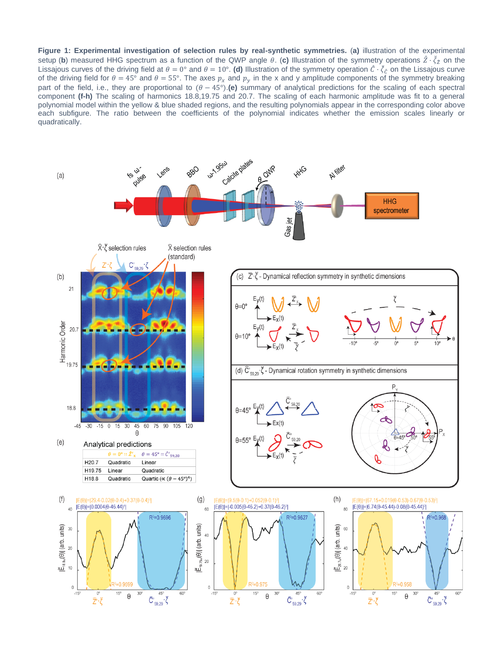**Figure 1: Experimental investigation of selection rules by real-synthetic symmetries.** (**a)** illustration of the experimental setup (b) measured HHG spectrum as a function of the QWP angle θ. (c) Illustration of the symmetry operations  $\hat{Z}\cdot\check{\zeta}_2$  on the Lissajous curves of the driving field at  $\theta=0^\circ$  and  $\theta=10^\circ$ . (d) Illustration of the symmetry operation  $\hat{\mathcal{C}}\cdot\vec{\zeta}_{\hat{\mathcal{C}}}$  on the Lissajous curve of the driving field for  $\theta = 45^\circ$  and  $\theta = 55^\circ$ . The axes  $p_x$  and  $p_y$  in the x and y amplitude components of the symmetry breaking part of the field, i.e., they are proportional to  $(\theta - 45^{\circ})$ . (e) summary of analytical predictions for the scaling of each spectral component **(f-h)** The scaling of harmonics 18.8,19.75 and 20.7. The scaling of each harmonic amplitude was fit to a general polynomial model within the yellow & blue shaded regions, and the resulting polynomials appear in the corresponding color above each subfigure. The ratio between the coefficients of the polynomial indicates whether the emission scales linearly or quadratically.

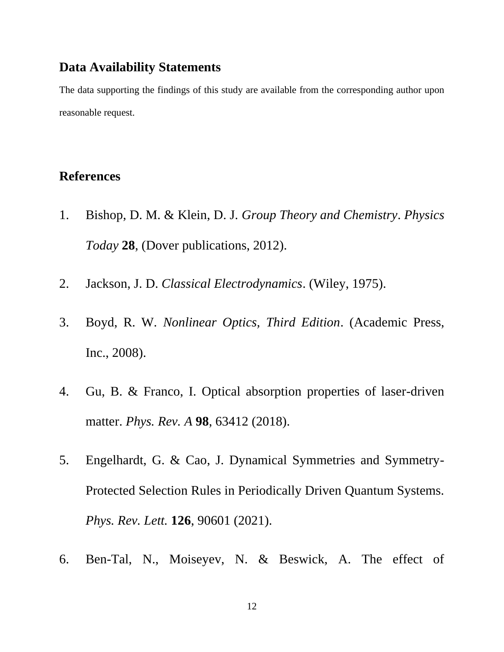#### **Data Availability Statements**

The data supporting the findings of this study are available from the corresponding author upon reasonable request.

#### **References**

- 1. Bishop, D. M. & Klein, D. J. *Group Theory and Chemistry*. *Physics Today* **28**, (Dover publications, 2012).
- 2. Jackson, J. D. *Classical Electrodynamics*. (Wiley, 1975).
- 3. Boyd, R. W. *Nonlinear Optics, Third Edition*. (Academic Press, Inc., 2008).
- 4. Gu, B. & Franco, I. Optical absorption properties of laser-driven matter. *Phys. Rev. A* **98**, 63412 (2018).
- 5. Engelhardt, G. & Cao, J. Dynamical Symmetries and Symmetry-Protected Selection Rules in Periodically Driven Quantum Systems. *Phys. Rev. Lett.* **126**, 90601 (2021).
- 6. Ben-Tal, N., Moiseyev, N. & Beswick, A. The effect of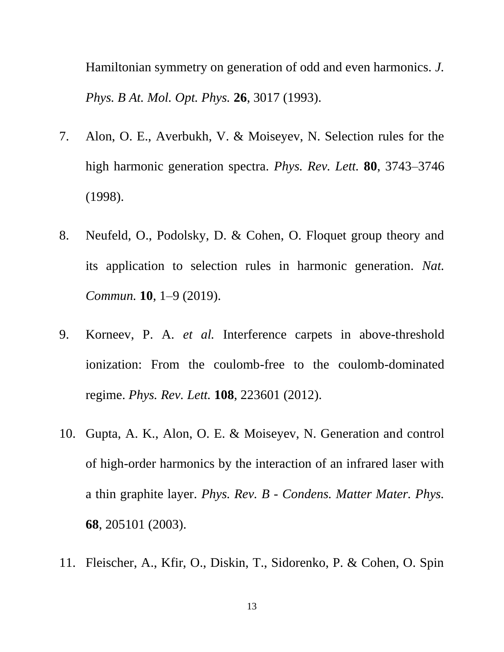Hamiltonian symmetry on generation of odd and even harmonics. *J. Phys. B At. Mol. Opt. Phys.* **26**, 3017 (1993).

- 7. Alon, O. E., Averbukh, V. & Moiseyev, N. Selection rules for the high harmonic generation spectra. *Phys. Rev. Lett.* **80**, 3743–3746 (1998).
- 8. Neufeld, O., Podolsky, D. & Cohen, O. Floquet group theory and its application to selection rules in harmonic generation. *Nat. Commun.* **10**, 1–9 (2019).
- 9. Korneev, P. A. *et al.* Interference carpets in above-threshold ionization: From the coulomb-free to the coulomb-dominated regime. *Phys. Rev. Lett.* **108**, 223601 (2012).
- 10. Gupta, A. K., Alon, O. E. & Moiseyev, N. Generation and control of high-order harmonics by the interaction of an infrared laser with a thin graphite layer. *Phys. Rev. B - Condens. Matter Mater. Phys.* **68**, 205101 (2003).
- 11. Fleischer, A., Kfir, O., Diskin, T., Sidorenko, P. & Cohen, O. Spin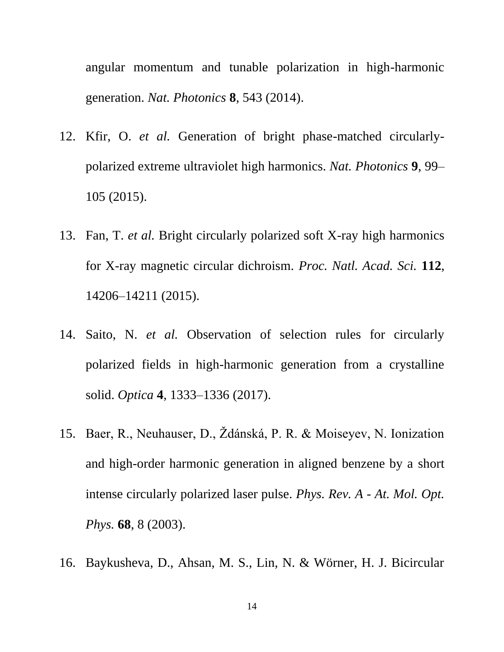angular momentum and tunable polarization in high-harmonic generation. *Nat. Photonics* **8**, 543 (2014).

- 12. Kfir, O. *et al.* Generation of bright phase-matched circularlypolarized extreme ultraviolet high harmonics. *Nat. Photonics* **9**, 99– 105 (2015).
- 13. Fan, T. *et al.* Bright circularly polarized soft X-ray high harmonics for X-ray magnetic circular dichroism. *Proc. Natl. Acad. Sci.* **112**, 14206–14211 (2015).
- 14. Saito, N. *et al.* Observation of selection rules for circularly polarized fields in high-harmonic generation from a crystalline solid. *Optica* **4**, 1333–1336 (2017).
- 15. Baer, R., Neuhauser, D., Ždánská, P. R. & Moiseyev, N. Ionization and high-order harmonic generation in aligned benzene by a short intense circularly polarized laser pulse. *Phys. Rev. A - At. Mol. Opt. Phys.* **68**, 8 (2003).
- 16. Baykusheva, D., Ahsan, M. S., Lin, N. & Wörner, H. J. Bicircular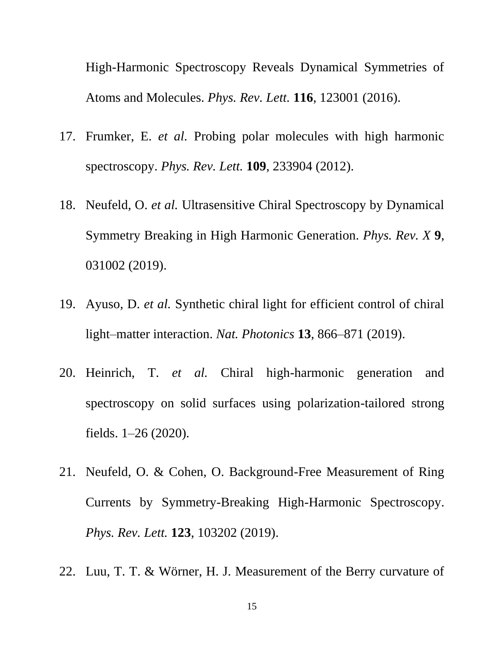High-Harmonic Spectroscopy Reveals Dynamical Symmetries of Atoms and Molecules. *Phys. Rev. Lett.* **116**, 123001 (2016).

- 17. Frumker, E. *et al.* Probing polar molecules with high harmonic spectroscopy. *Phys. Rev. Lett.* **109**, 233904 (2012).
- 18. Neufeld, O. *et al.* Ultrasensitive Chiral Spectroscopy by Dynamical Symmetry Breaking in High Harmonic Generation. *Phys. Rev. X* **9**, 031002 (2019).
- 19. Ayuso, D. *et al.* Synthetic chiral light for efficient control of chiral light–matter interaction. *Nat. Photonics* **13**, 866–871 (2019).
- 20. Heinrich, T. *et al.* Chiral high-harmonic generation and spectroscopy on solid surfaces using polarization-tailored strong fields. 1–26 (2020).
- 21. Neufeld, O. & Cohen, O. Background-Free Measurement of Ring Currents by Symmetry-Breaking High-Harmonic Spectroscopy. *Phys. Rev. Lett.* **123**, 103202 (2019).
- 22. Luu, T. T. & Wörner, H. J. Measurement of the Berry curvature of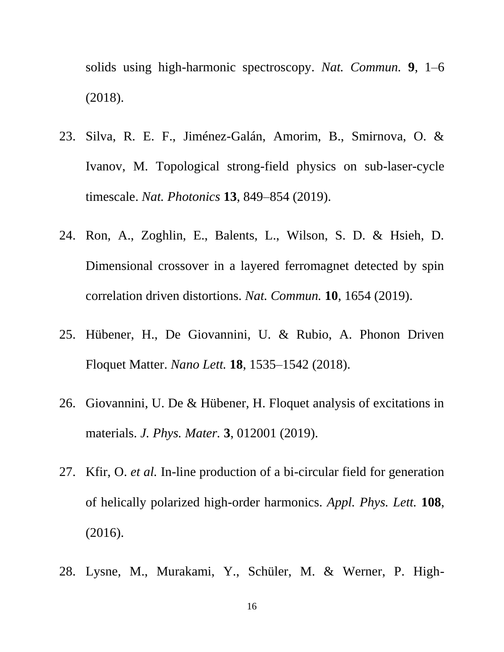solids using high-harmonic spectroscopy. *Nat. Commun.* **9**, 1–6 (2018).

- 23. Silva, R. E. F., Jiménez-Galán, Amorim, B., Smirnova, O. & Ivanov, M. Topological strong-field physics on sub-laser-cycle timescale. *Nat. Photonics* **13**, 849–854 (2019).
- 24. Ron, A., Zoghlin, E., Balents, L., Wilson, S. D. & Hsieh, D. Dimensional crossover in a layered ferromagnet detected by spin correlation driven distortions. *Nat. Commun.* **10**, 1654 (2019).
- 25. Hübener, H., De Giovannini, U. & Rubio, A. Phonon Driven Floquet Matter. *Nano Lett.* **18**, 1535–1542 (2018).
- 26. Giovannini, U. De & Hübener, H. Floquet analysis of excitations in materials. *J. Phys. Mater.* **3**, 012001 (2019).
- 27. Kfir, O. *et al.* In-line production of a bi-circular field for generation of helically polarized high-order harmonics. *Appl. Phys. Lett.* **108**, (2016).
- 28. Lysne, M., Murakami, Y., Schüler, M. & Werner, P. High-